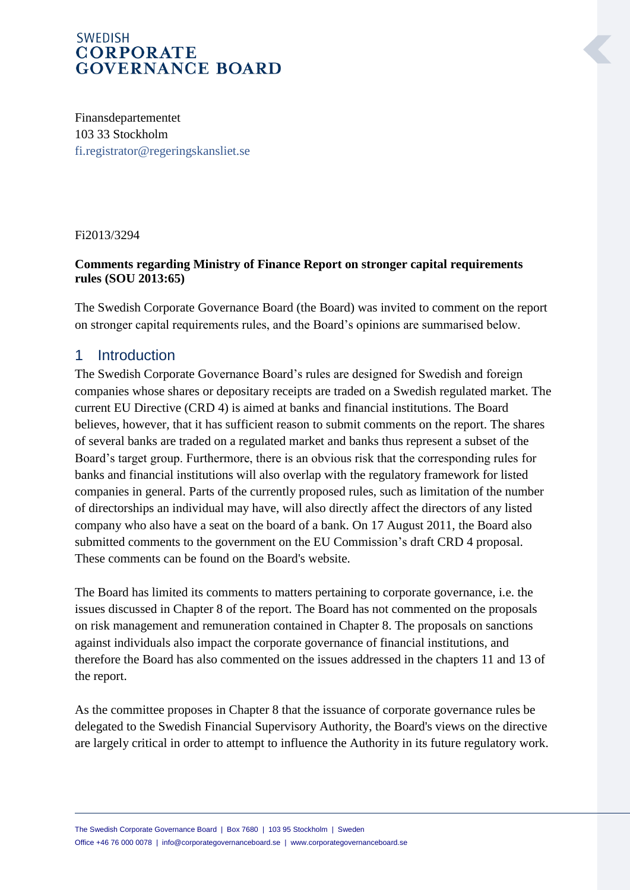Finansdepartementet 103 33 Stockholm [fi.registrator@regeringskansliet.se](mailto:fi.registrator@regeringskansliet.se)

#### Fi2013/3294

#### **Comments regarding Ministry of Finance Report on stronger capital requirements rules (SOU 2013:65)**

The Swedish Corporate Governance Board (the Board) was invited to comment on the report on stronger capital requirements rules, and the Board's opinions are summarised below.

#### 1 Introduction

The Swedish Corporate Governance Board's rules are designed for Swedish and foreign companies whose shares or depositary receipts are traded on a Swedish regulated market. The current EU Directive (CRD 4) is aimed at banks and financial institutions. The Board believes, however, that it has sufficient reason to submit comments on the report. The shares of several banks are traded on a regulated market and banks thus represent a subset of the Board's target group. Furthermore, there is an obvious risk that the corresponding rules for banks and financial institutions will also overlap with the regulatory framework for listed companies in general. Parts of the currently proposed rules, such as limitation of the number of directorships an individual may have, will also directly affect the directors of any listed company who also have a seat on the board of a bank. On 17 August 2011, the Board also submitted comments to the government on the EU Commission's draft CRD 4 proposal. These comments can be found on the Board's website.

The Board has limited its comments to matters pertaining to corporate governance, i.e. the issues discussed in Chapter 8 of the report. The Board has not commented on the proposals on risk management and remuneration contained in Chapter 8. The proposals on sanctions against individuals also impact the corporate governance of financial institutions, and therefore the Board has also commented on the issues addressed in the chapters 11 and 13 of the report.

As the committee proposes in Chapter 8 that the issuance of corporate governance rules be delegated to the Swedish Financial Supervisory Authority, the Board's views on the directive are largely critical in order to attempt to influence the Authority in its future regulatory work.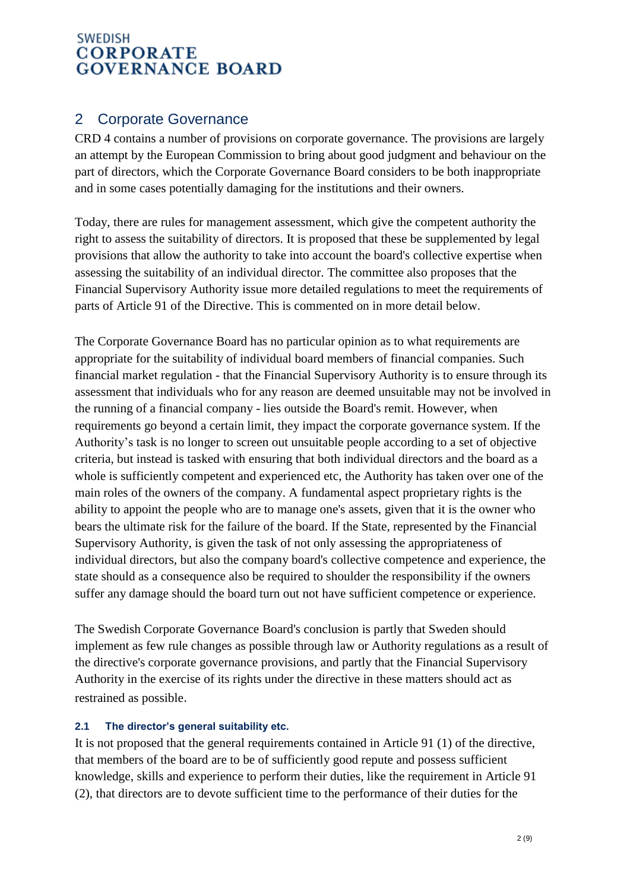# 2 Corporate Governance

CRD 4 contains a number of provisions on corporate governance. The provisions are largely an attempt by the European Commission to bring about good judgment and behaviour on the part of directors, which the Corporate Governance Board considers to be both inappropriate and in some cases potentially damaging for the institutions and their owners.

Today, there are rules for management assessment, which give the competent authority the right to assess the suitability of directors. It is proposed that these be supplemented by legal provisions that allow the authority to take into account the board's collective expertise when assessing the suitability of an individual director. The committee also proposes that the Financial Supervisory Authority issue more detailed regulations to meet the requirements of parts of Article 91 of the Directive. This is commented on in more detail below.

The Corporate Governance Board has no particular opinion as to what requirements are appropriate for the suitability of individual board members of financial companies. Such financial market regulation - that the Financial Supervisory Authority is to ensure through its assessment that individuals who for any reason are deemed unsuitable may not be involved in the running of a financial company - lies outside the Board's remit. However, when requirements go beyond a certain limit, they impact the corporate governance system. If the Authority's task is no longer to screen out unsuitable people according to a set of objective criteria, but instead is tasked with ensuring that both individual directors and the board as a whole is sufficiently competent and experienced etc, the Authority has taken over one of the main roles of the owners of the company. A fundamental aspect proprietary rights is the ability to appoint the people who are to manage one's assets, given that it is the owner who bears the ultimate risk for the failure of the board. If the State, represented by the Financial Supervisory Authority, is given the task of not only assessing the appropriateness of individual directors, but also the company board's collective competence and experience, the state should as a consequence also be required to shoulder the responsibility if the owners suffer any damage should the board turn out not have sufficient competence or experience.

The Swedish Corporate Governance Board's conclusion is partly that Sweden should implement as few rule changes as possible through law or Authority regulations as a result of the directive's corporate governance provisions, and partly that the Financial Supervisory Authority in the exercise of its rights under the directive in these matters should act as restrained as possible.

#### **2.1 The director's general suitability etc.**

It is not proposed that the general requirements contained in Article 91 (1) of the directive, that members of the board are to be of sufficiently good repute and possess sufficient knowledge, skills and experience to perform their duties, like the requirement in Article 91 (2), that directors are to devote sufficient time to the performance of their duties for the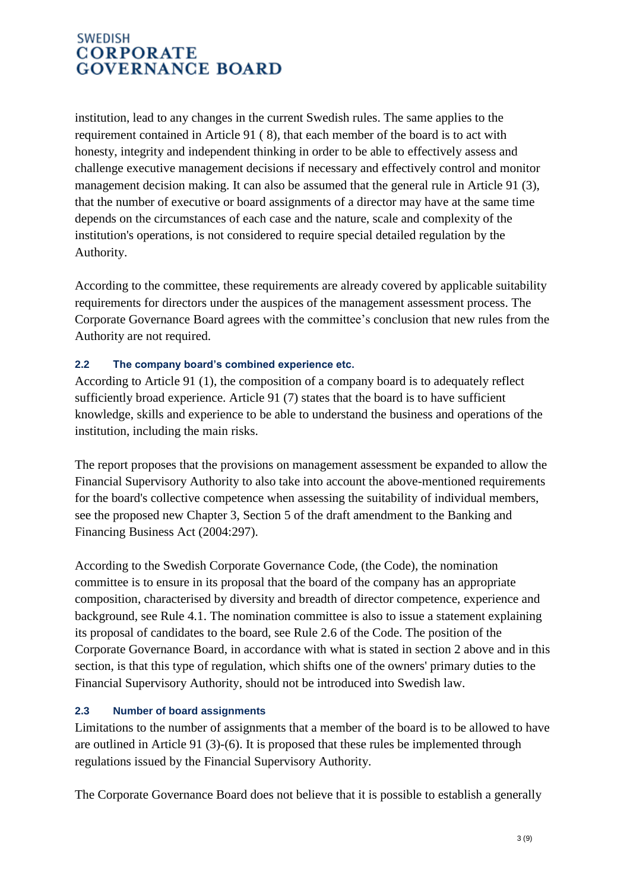institution, lead to any changes in the current Swedish rules. The same applies to the requirement contained in Article 91 ( 8), that each member of the board is to act with honesty, integrity and independent thinking in order to be able to effectively assess and challenge executive management decisions if necessary and effectively control and monitor management decision making. It can also be assumed that the general rule in Article 91 (3), that the number of executive or board assignments of a director may have at the same time depends on the circumstances of each case and the nature, scale and complexity of the institution's operations, is not considered to require special detailed regulation by the Authority.

According to the committee, these requirements are already covered by applicable suitability requirements for directors under the auspices of the management assessment process. The Corporate Governance Board agrees with the committee's conclusion that new rules from the Authority are not required.

#### **2.2 The company board's combined experience etc.**

According to Article 91 (1), the composition of a company board is to adequately reflect sufficiently broad experience. Article 91 (7) states that the board is to have sufficient knowledge, skills and experience to be able to understand the business and operations of the institution, including the main risks.

The report proposes that the provisions on management assessment be expanded to allow the Financial Supervisory Authority to also take into account the above-mentioned requirements for the board's collective competence when assessing the suitability of individual members, see the proposed new Chapter 3, Section 5 of the draft amendment to the Banking and Financing Business Act (2004:297).

According to the Swedish Corporate Governance Code, (the Code), the nomination committee is to ensure in its proposal that the board of the company has an appropriate composition, characterised by diversity and breadth of director competence, experience and background, see Rule 4.1. The nomination committee is also to issue a statement explaining its proposal of candidates to the board, see Rule 2.6 of the Code. The position of the Corporate Governance Board, in accordance with what is stated in section 2 above and in this section, is that this type of regulation, which shifts one of the owners' primary duties to the Financial Supervisory Authority, should not be introduced into Swedish law.

#### **2.3 Number of board assignments**

Limitations to the number of assignments that a member of the board is to be allowed to have are outlined in Article 91 (3)-(6). It is proposed that these rules be implemented through regulations issued by the Financial Supervisory Authority.

The Corporate Governance Board does not believe that it is possible to establish a generally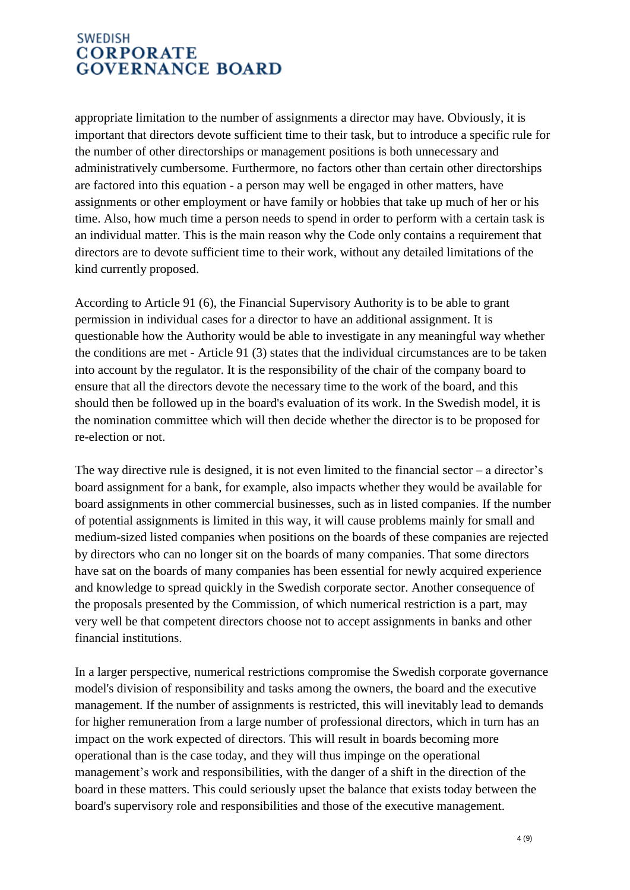appropriate limitation to the number of assignments a director may have. Obviously, it is important that directors devote sufficient time to their task, but to introduce a specific rule for the number of other directorships or management positions is both unnecessary and administratively cumbersome. Furthermore, no factors other than certain other directorships are factored into this equation - a person may well be engaged in other matters, have assignments or other employment or have family or hobbies that take up much of her or his time. Also, how much time a person needs to spend in order to perform with a certain task is an individual matter. This is the main reason why the Code only contains a requirement that directors are to devote sufficient time to their work, without any detailed limitations of the kind currently proposed.

According to Article 91 (6), the Financial Supervisory Authority is to be able to grant permission in individual cases for a director to have an additional assignment. It is questionable how the Authority would be able to investigate in any meaningful way whether the conditions are met - Article 91 (3) states that the individual circumstances are to be taken into account by the regulator. It is the responsibility of the chair of the company board to ensure that all the directors devote the necessary time to the work of the board, and this should then be followed up in the board's evaluation of its work. In the Swedish model, it is the nomination committee which will then decide whether the director is to be proposed for re-election or not.

The way directive rule is designed, it is not even limited to the financial sector – a director's board assignment for a bank, for example, also impacts whether they would be available for board assignments in other commercial businesses, such as in listed companies. If the number of potential assignments is limited in this way, it will cause problems mainly for small and medium-sized listed companies when positions on the boards of these companies are rejected by directors who can no longer sit on the boards of many companies. That some directors have sat on the boards of many companies has been essential for newly acquired experience and knowledge to spread quickly in the Swedish corporate sector. Another consequence of the proposals presented by the Commission, of which numerical restriction is a part, may very well be that competent directors choose not to accept assignments in banks and other financial institutions.

In a larger perspective, numerical restrictions compromise the Swedish corporate governance model's division of responsibility and tasks among the owners, the board and the executive management. If the number of assignments is restricted, this will inevitably lead to demands for higher remuneration from a large number of professional directors, which in turn has an impact on the work expected of directors. This will result in boards becoming more operational than is the case today, and they will thus impinge on the operational management's work and responsibilities, with the danger of a shift in the direction of the board in these matters. This could seriously upset the balance that exists today between the board's supervisory role and responsibilities and those of the executive management.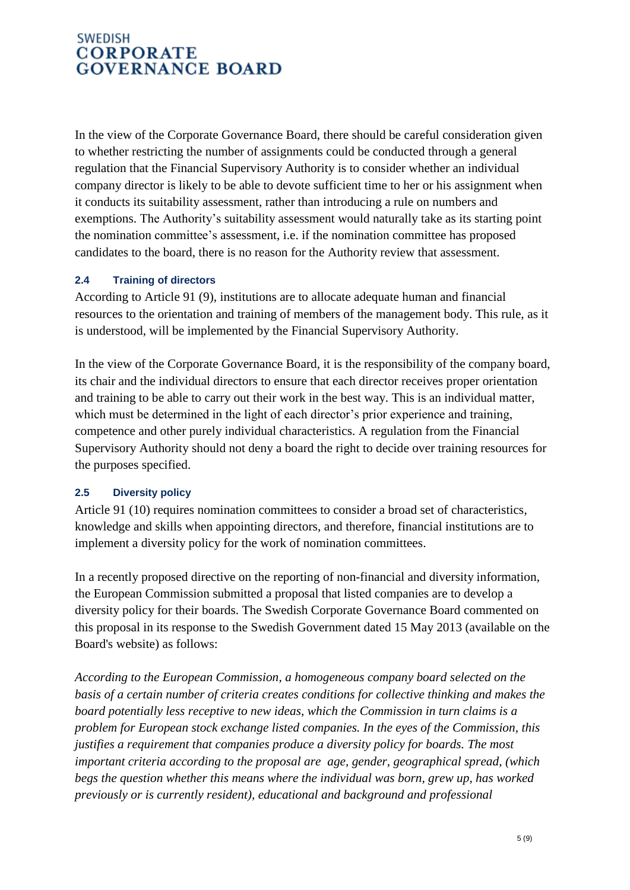In the view of the Corporate Governance Board, there should be careful consideration given to whether restricting the number of assignments could be conducted through a general regulation that the Financial Supervisory Authority is to consider whether an individual company director is likely to be able to devote sufficient time to her or his assignment when it conducts its suitability assessment, rather than introducing a rule on numbers and exemptions. The Authority's suitability assessment would naturally take as its starting point the nomination committee's assessment, i.e. if the nomination committee has proposed candidates to the board, there is no reason for the Authority review that assessment.

#### **2.4 Training of directors**

According to Article 91 (9), institutions are to allocate adequate human and financial resources to the orientation and training of members of the management body. This rule, as it is understood, will be implemented by the Financial Supervisory Authority.

In the view of the Corporate Governance Board, it is the responsibility of the company board, its chair and the individual directors to ensure that each director receives proper orientation and training to be able to carry out their work in the best way. This is an individual matter, which must be determined in the light of each director's prior experience and training, competence and other purely individual characteristics. A regulation from the Financial Supervisory Authority should not deny a board the right to decide over training resources for the purposes specified.

#### **2.5 Diversity policy**

Article 91 (10) requires nomination committees to consider a broad set of characteristics, knowledge and skills when appointing directors, and therefore, financial institutions are to implement a diversity policy for the work of nomination committees.

In a recently proposed directive on the reporting of non-financial and diversity information, the European Commission submitted a proposal that listed companies are to develop a diversity policy for their boards. The Swedish Corporate Governance Board commented on this proposal in its response to the Swedish Government dated 15 May 2013 (available on the Board's website) as follows:

*According to the European Commission, a homogeneous company board selected on the basis of a certain number of criteria creates conditions for collective thinking and makes the board potentially less receptive to new ideas, which the Commission in turn claims is a problem for European stock exchange listed companies. In the eyes of the Commission, this justifies a requirement that companies produce a diversity policy for boards. The most important criteria according to the proposal are age, gender, geographical spread, (which begs the question whether this means where the individual was born, grew up, has worked previously or is currently resident), educational and background and professional*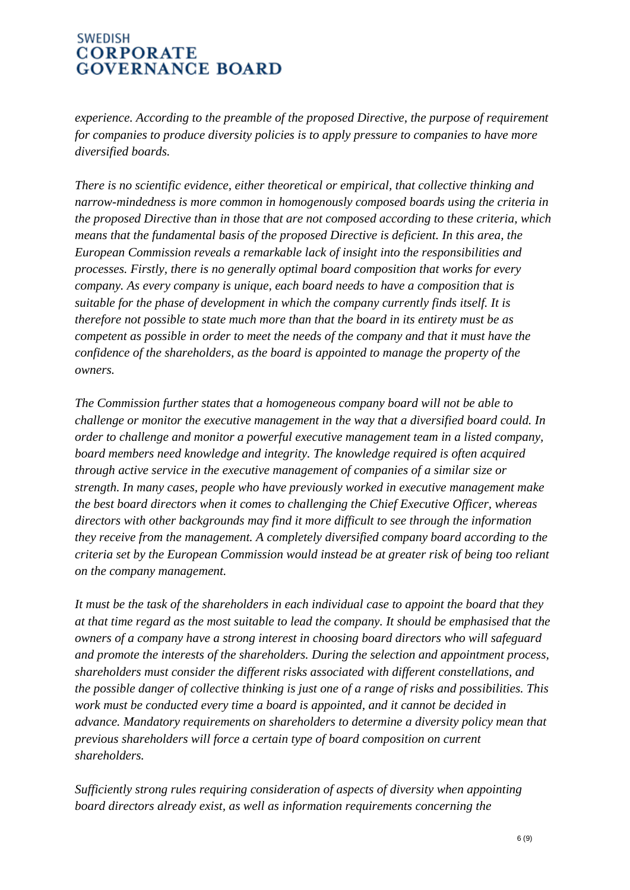*experience. According to the preamble of the proposed Directive, the purpose of requirement for companies to produce diversity policies is to apply pressure to companies to have more diversified boards.*

*There is no scientific evidence, either theoretical or empirical, that collective thinking and narrow-mindedness is more common in homogenously composed boards using the criteria in the proposed Directive than in those that are not composed according to these criteria, which means that the fundamental basis of the proposed Directive is deficient. In this area, the European Commission reveals a remarkable lack of insight into the responsibilities and processes. Firstly, there is no generally optimal board composition that works for every company. As every company is unique, each board needs to have a composition that is suitable for the phase of development in which the company currently finds itself. It is therefore not possible to state much more than that the board in its entirety must be as competent as possible in order to meet the needs of the company and that it must have the confidence of the shareholders, as the board is appointed to manage the property of the owners.*

*The Commission further states that a homogeneous company board will not be able to challenge or monitor the executive management in the way that a diversified board could. In order to challenge and monitor a powerful executive management team in a listed company, board members need knowledge and integrity. The knowledge required is often acquired through active service in the executive management of companies of a similar size or strength. In many cases, people who have previously worked in executive management make the best board directors when it comes to challenging the Chief Executive Officer, whereas directors with other backgrounds may find it more difficult to see through the information they receive from the management. A completely diversified company board according to the criteria set by the European Commission would instead be at greater risk of being too reliant on the company management.*

*It must be the task of the shareholders in each individual case to appoint the board that they at that time regard as the most suitable to lead the company. It should be emphasised that the owners of a company have a strong interest in choosing board directors who will safeguard and promote the interests of the shareholders. During the selection and appointment process, shareholders must consider the different risks associated with different constellations, and the possible danger of collective thinking is just one of a range of risks and possibilities. This work must be conducted every time a board is appointed, and it cannot be decided in advance. Mandatory requirements on shareholders to determine a diversity policy mean that previous shareholders will force a certain type of board composition on current shareholders.* 

*Sufficiently strong rules requiring consideration of aspects of diversity when appointing board directors already exist, as well as information requirements concerning the*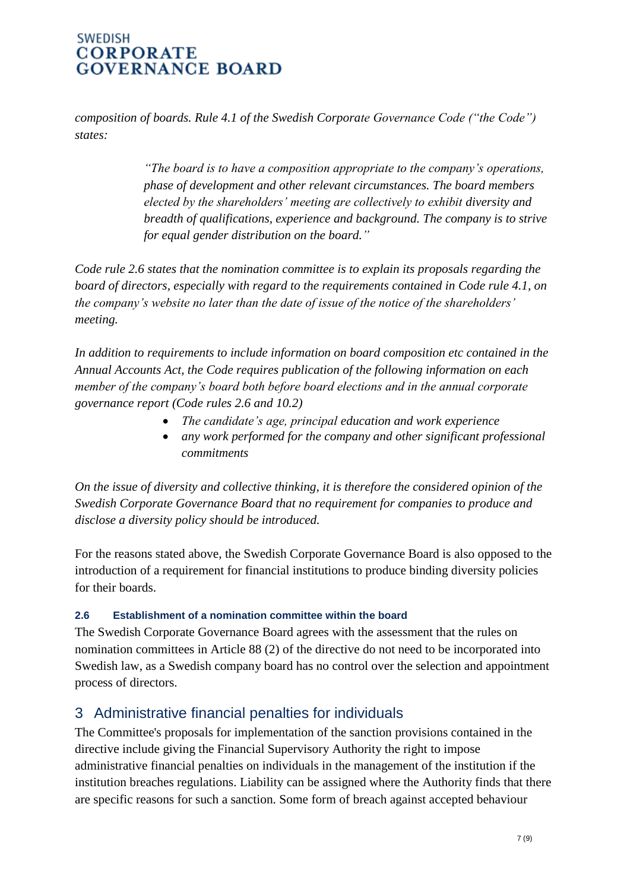*composition of boards. Rule 4.1 of the Swedish Corporate Governance Code ("the Code") states:* 

> *"The board is to have a composition appropriate to the company's operations, phase of development and other relevant circumstances. The board members elected by the shareholders' meeting are collectively to exhibit diversity and breadth of qualifications, experience and background. The company is to strive for equal gender distribution on the board."*

*Code rule 2.6 states that the nomination committee is to explain its proposals regarding the board of directors, especially with regard to the requirements contained in Code rule 4.1, on the company's website no later than the date of issue of the notice of the shareholders' meeting.*

*In addition to requirements to include information on board composition etc contained in the Annual Accounts Act, the Code requires publication of the following information on each member of the company's board both before board elections and in the annual corporate governance report (Code rules 2.6 and 10.2)*

- *The candidate's age, principal education and work experience*
- *any work performed for the company and other significant professional commitments*

*On the issue of diversity and collective thinking, it is therefore the considered opinion of the Swedish Corporate Governance Board that no requirement for companies to produce and disclose a diversity policy should be introduced.*

For the reasons stated above, the Swedish Corporate Governance Board is also opposed to the introduction of a requirement for financial institutions to produce binding diversity policies for their boards.

#### **2.6 Establishment of a nomination committee within the board**

The Swedish Corporate Governance Board agrees with the assessment that the rules on nomination committees in Article 88 (2) of the directive do not need to be incorporated into Swedish law, as a Swedish company board has no control over the selection and appointment process of directors.

# 3 Administrative financial penalties for individuals

The Committee's proposals for implementation of the sanction provisions contained in the directive include giving the Financial Supervisory Authority the right to impose administrative financial penalties on individuals in the management of the institution if the institution breaches regulations. Liability can be assigned where the Authority finds that there are specific reasons for such a sanction. Some form of breach against accepted behaviour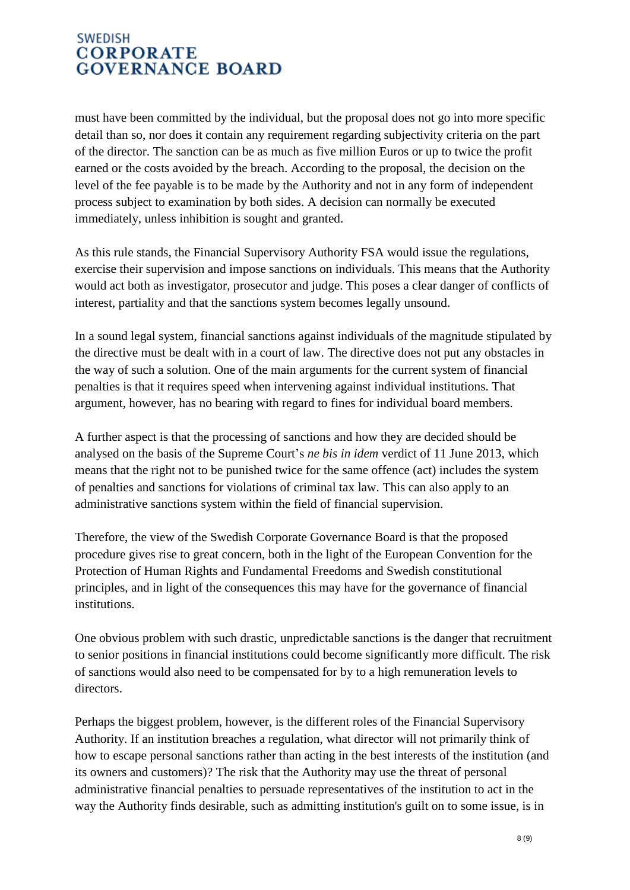must have been committed by the individual, but the proposal does not go into more specific detail than so, nor does it contain any requirement regarding subjectivity criteria on the part of the director. The sanction can be as much as five million Euros or up to twice the profit earned or the costs avoided by the breach. According to the proposal, the decision on the level of the fee payable is to be made by the Authority and not in any form of independent process subject to examination by both sides. A decision can normally be executed immediately, unless inhibition is sought and granted.

As this rule stands, the Financial Supervisory Authority FSA would issue the regulations, exercise their supervision and impose sanctions on individuals. This means that the Authority would act both as investigator, prosecutor and judge. This poses a clear danger of conflicts of interest, partiality and that the sanctions system becomes legally unsound.

In a sound legal system, financial sanctions against individuals of the magnitude stipulated by the directive must be dealt with in a court of law. The directive does not put any obstacles in the way of such a solution. One of the main arguments for the current system of financial penalties is that it requires speed when intervening against individual institutions. That argument, however, has no bearing with regard to fines for individual board members.

A further aspect is that the processing of sanctions and how they are decided should be analysed on the basis of the Supreme Court's *ne bis in idem* verdict of 11 June 2013, which means that the right not to be punished twice for the same offence (act) includes the system of penalties and sanctions for violations of criminal tax law. This can also apply to an administrative sanctions system within the field of financial supervision.

Therefore, the view of the Swedish Corporate Governance Board is that the proposed procedure gives rise to great concern, both in the light of the European Convention for the Protection of Human Rights and Fundamental Freedoms and Swedish constitutional principles, and in light of the consequences this may have for the governance of financial institutions.

One obvious problem with such drastic, unpredictable sanctions is the danger that recruitment to senior positions in financial institutions could become significantly more difficult. The risk of sanctions would also need to be compensated for by to a high remuneration levels to directors.

Perhaps the biggest problem, however, is the different roles of the Financial Supervisory Authority. If an institution breaches a regulation, what director will not primarily think of how to escape personal sanctions rather than acting in the best interests of the institution (and its owners and customers)? The risk that the Authority may use the threat of personal administrative financial penalties to persuade representatives of the institution to act in the way the Authority finds desirable, such as admitting institution's guilt on to some issue, is in